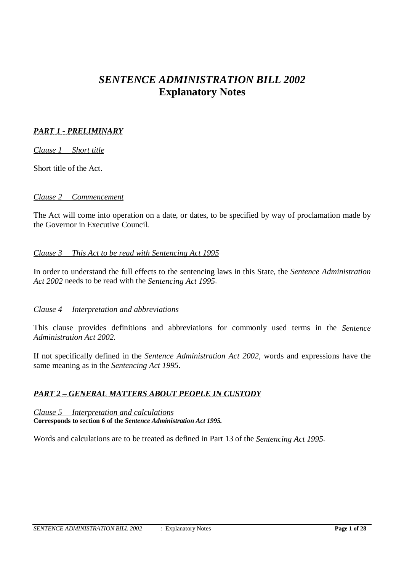# *SENTENCE ADMINISTRATION BILL 2002* **Explanatory Notes**

# *PART 1 - PRELIMINARY*

*Clause 1 Short title*

Short title of the Act.

# *Clause 2 Commencement*

The Act will come into operation on a date, or dates, to be specified by way of proclamation made by the Governor in Executive Council.

# *Clause 3 This Act to be read with Sentencing Act 1995*

In order to understand the full effects to the sentencing laws in this State, the *Sentence Administration Act 2002* needs to be read with the *Sentencing Act 1995*.

# *Clause 4 Interpretation and abbreviations*

This clause provides definitions and abbreviations for commonly used terms in the *Sentence Administration Act 2002*.

If not specifically defined in the *Sentence Administration Act 2002*, words and expressions have the same meaning as in the *Sentencing Act 1995*.

# *PART 2 – GENERAL MATTERS ABOUT PEOPLE IN CUSTODY*

### *Clause 5 Interpretation and calculations*

**Corresponds to section 6 of the** *Sentence Administration Act 1995.*

Words and calculations are to be treated as defined in Part 13 of the *Sentencing Act 1995*.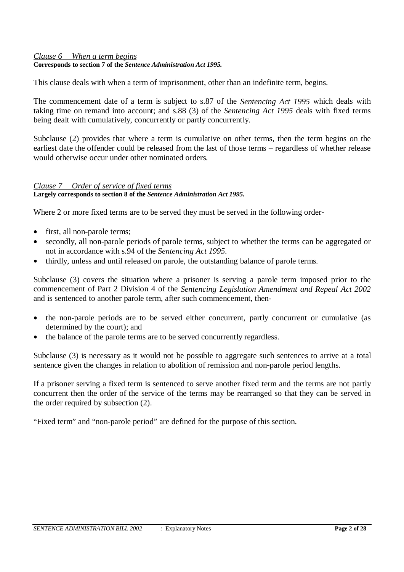# *Clause 6 When a term begins*

**Corresponds to section 7 of the** *Sentence Administration Act 1995.*

This clause deals with when a term of imprisonment, other than an indefinite term, begins.

The commencement date of a term is subject to s.87 of the *Sentencing Act 1995* which deals with taking time on remand into account; and s.88 (3) of the *Sentencing Act 1995* deals with fixed terms being dealt with cumulatively, concurrently or partly concurrently.

Subclause (2) provides that where a term is cumulative on other terms, then the term begins on the earliest date the offender could be released from the last of those terms – regardless of whether release would otherwise occur under other nominated orders.

### *Clause 7 Order of service of fixed terms* **Largely corresponds to section 8 of the** *Sentence Administration Act 1995.*

Where 2 or more fixed terms are to be served they must be served in the following order-

- first, all non-parole terms;
- secondly, all non-parole periods of parole terms, subject to whether the terms can be aggregated or not in accordance with s.94 of the *Sentencing Act 1995*.
- thirdly, unless and until released on parole, the outstanding balance of parole terms.

Subclause (3) covers the situation where a prisoner is serving a parole term imposed prior to the commencement of Part 2 Division 4 of the *Sentencing Legislation Amendment and Repeal Act 2002* and is sentenced to another parole term, after such commencement, then-

- the non-parole periods are to be served either concurrent, partly concurrent or cumulative (as determined by the court); and
- the balance of the parole terms are to be served concurrently regardless.

Subclause (3) is necessary as it would not be possible to aggregate such sentences to arrive at a total sentence given the changes in relation to abolition of remission and non-parole period lengths.

If a prisoner serving a fixed term is sentenced to serve another fixed term and the terms are not partly concurrent then the order of the service of the terms may be rearranged so that they can be served in the order required by subsection (2).

"Fixed term" and "non-parole period" are defined for the purpose of this section.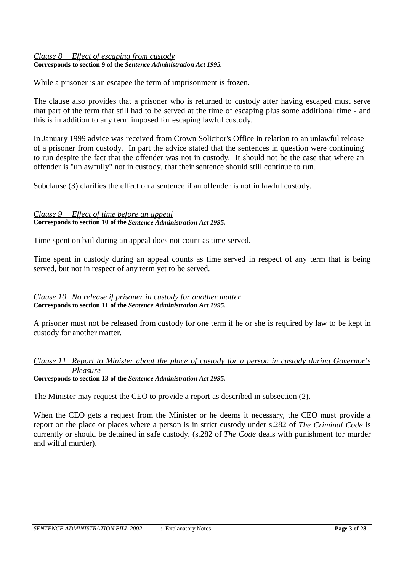#### *Clause 8 Effect of escaping from custody* **Corresponds to section 9 of the** *Sentence Administration Act 1995.*

While a prisoner is an escapee the term of imprisonment is frozen.

The clause also provides that a prisoner who is returned to custody after having escaped must serve that part of the term that still had to be served at the time of escaping plus some additional time - and this is in addition to any term imposed for escaping lawful custody.

In January 1999 advice was received from Crown Solicitor's Office in relation to an unlawful release of a prisoner from custody. In part the advice stated that the sentences in question were continuing to run despite the fact that the offender was not in custody. It should not be the case that where an offender is "unlawfully" not in custody, that their sentence should still continue to run.

Subclause (3) clarifies the effect on a sentence if an offender is not in lawful custody.

#### *Clause 9 Effect of time before an appeal* **Corresponds to section 10 of the** *Sentence Administration Act 1995.*

Time spent on bail during an appeal does not count as time served.

Time spent in custody during an appeal counts as time served in respect of any term that is being served, but not in respect of any term yet to be served.

### *Clause 10 No release if prisoner in custody for another matter* **Corresponds to section 11 of the** *Sentence Administration Act 1995.*

A prisoner must not be released from custody for one term if he or she is required by law to be kept in custody for another matter.

# *Clause 11 Report to Minister about the place of custody for a person in custody during Governor's Pleasure*

**Corresponds to section 13 of the** *Sentence Administration Act 1995.*

The Minister may request the CEO to provide a report as described in subsection (2).

When the CEO gets a request from the Minister or he deems it necessary, the CEO must provide a report on the place or places where a person is in strict custody under s.282 of *The Criminal Code* is currently or should be detained in safe custody. (s.282 of *The Code* deals with punishment for murder and wilful murder).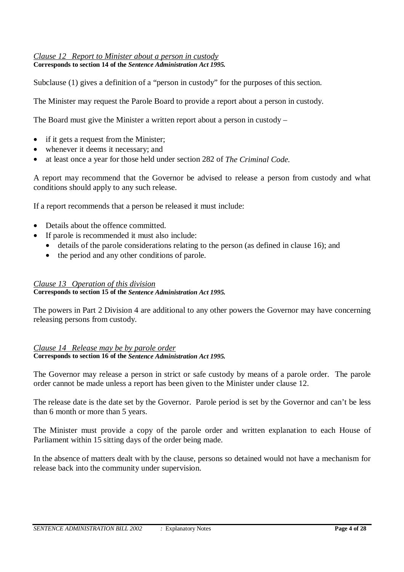## *Clause 12 Report to Minister about a person in custody* **Corresponds to section 14 of the** *Sentence Administration Act 1995.*

Subclause (1) gives a definition of a "person in custody" for the purposes of this section.

The Minister may request the Parole Board to provide a report about a person in custody.

The Board must give the Minister a written report about a person in custody –

- if it gets a request from the Minister;
- whenever it deems it necessary; and
- at least once a year for those held under section 282 of *The Criminal Code.*

A report may recommend that the Governor be advised to release a person from custody and what conditions should apply to any such release.

If a report recommends that a person be released it must include:

- Details about the offence committed.
	- If parole is recommended it must also include:
		- details of the parole considerations relating to the person (as defined in clause 16); and
		- the period and any other conditions of parole.

#### *Clause 13 Operation of this division* **Corresponds to section 15 of the** *Sentence Administration Act 1995.*

The powers in Part 2 Division 4 are additional to any other powers the Governor may have concerning releasing persons from custody.

*Clause 14 Release may be by parole order* **Corresponds to section 16 of the** *Sentence Administration Act 1995.*

The Governor may release a person in strict or safe custody by means of a parole order. The parole order cannot be made unless a report has been given to the Minister under clause 12.

The release date is the date set by the Governor. Parole period is set by the Governor and can't be less than 6 month or more than 5 years.

The Minister must provide a copy of the parole order and written explanation to each House of Parliament within 15 sitting days of the order being made.

In the absence of matters dealt with by the clause, persons so detained would not have a mechanism for release back into the community under supervision.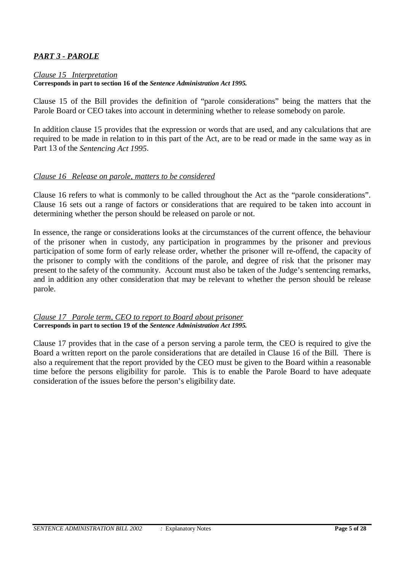# *PART 3 - PAROLE*

#### *Clause 15 Interpretation*

**Corresponds in part to section 16 of the** *Sentence Administration Act 1995.*

Clause 15 of the Bill provides the definition of "parole considerations" being the matters that the Parole Board or CEO takes into account in determining whether to release somebody on parole.

In addition clause 15 provides that the expression or words that are used, and any calculations that are required to be made in relation to in this part of the Act, are to be read or made in the same way as in Part 13 of the *Sentencing Act 1995*.

# *Clause 16 Release on parole, matters to be considered*

Clause 16 refers to what is commonly to be called throughout the Act as the "parole considerations". Clause 16 sets out a range of factors or considerations that are required to be taken into account in determining whether the person should be released on parole or not.

In essence, the range or considerations looks at the circumstances of the current offence, the behaviour of the prisoner when in custody, any participation in programmes by the prisoner and previous participation of some form of early release order, whether the prisoner will re-offend, the capacity of the prisoner to comply with the conditions of the parole, and degree of risk that the prisoner may present to the safety of the community. Account must also be taken of the Judge's sentencing remarks, and in addition any other consideration that may be relevant to whether the person should be release parole.

#### *Clause 17 Parole term, CEO to report to Board about prisoner* **Corresponds in part to section 19 of the** *Sentence Administration Act 1995.*

Clause 17 provides that in the case of a person serving a parole term, the CEO is required to give the Board a written report on the parole considerations that are detailed in Clause 16 of the Bill. There is also a requirement that the report provided by the CEO must be given to the Board within a reasonable time before the persons eligibility for parole. This is to enable the Parole Board to have adequate consideration of the issues before the person's eligibility date.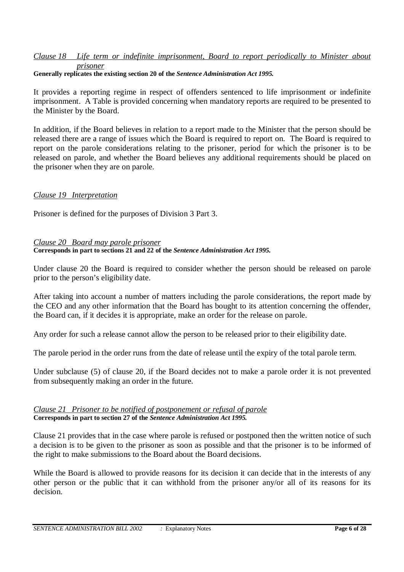# *Clause 18 Life term or indefinite imprisonment, Board to report periodically to Minister about prisoner*

# **Generally replicates the existing section 20 of the** *Sentence Administration Act 1995.*

It provides a reporting regime in respect of offenders sentenced to life imprisonment or indefinite imprisonment. A Table is provided concerning when mandatory reports are required to be presented to the Minister by the Board.

In addition, if the Board believes in relation to a report made to the Minister that the person should be released there are a range of issues which the Board is required to report on. The Board is required to report on the parole considerations relating to the prisoner, period for which the prisoner is to be released on parole, and whether the Board believes any additional requirements should be placed on the prisoner when they are on parole.

# *Clause 19 Interpretation*

Prisoner is defined for the purposes of Division 3 Part 3.

# *Clause 20 Board may parole prisoner*

**Corresponds in part to sections 21 and 22 of the** *Sentence Administration Act 1995.*

Under clause 20 the Board is required to consider whether the person should be released on parole prior to the person's eligibility date.

After taking into account a number of matters including the parole considerations, the report made by the CEO and any other information that the Board has bought to its attention concerning the offender, the Board can, if it decides it is appropriate, make an order for the release on parole.

Any order for such a release cannot allow the person to be released prior to their eligibility date.

The parole period in the order runs from the date of release until the expiry of the total parole term.

Under subclause (5) of clause 20, if the Board decides not to make a parole order it is not prevented from subsequently making an order in the future.

#### *Clause 21 Prisoner to be notified of postponement or refusal of parole* **Corresponds in part to section 27 of the** *Sentence Administration Act 1995.*

Clause 21 provides that in the case where parole is refused or postponed then the written notice of such a decision is to be given to the prisoner as soon as possible and that the prisoner is to be informed of the right to make submissions to the Board about the Board decisions.

While the Board is allowed to provide reasons for its decision it can decide that in the interests of any other person or the public that it can withhold from the prisoner any/or all of its reasons for its decision.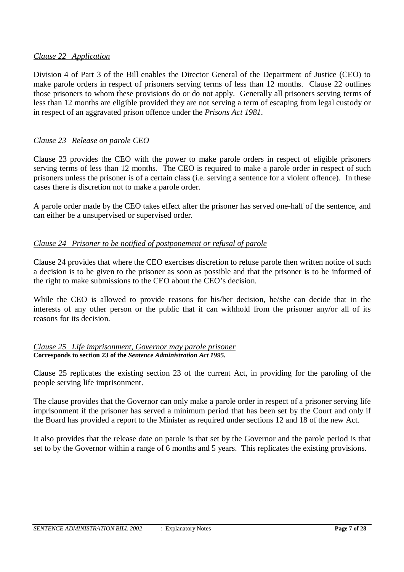# *Clause 22 Application*

Division 4 of Part 3 of the Bill enables the Director General of the Department of Justice (CEO) to make parole orders in respect of prisoners serving terms of less than 12 months. Clause 22 outlines those prisoners to whom these provisions do or do not apply. Generally all prisoners serving terms of less than 12 months are eligible provided they are not serving a term of escaping from legal custody or in respect of an aggravated prison offence under the *Prisons Act 1981*.

# *Clause 23 Release on parole CEO*

Clause 23 provides the CEO with the power to make parole orders in respect of eligible prisoners serving terms of less than 12 months. The CEO is required to make a parole order in respect of such prisoners unless the prisoner is of a certain class (i.e. serving a sentence for a violent offence). In these cases there is discretion not to make a parole order.

A parole order made by the CEO takes effect after the prisoner has served one-half of the sentence, and can either be a unsupervised or supervised order.

# *Clause 24 Prisoner to be notified of postponement or refusal of parole*

Clause 24 provides that where the CEO exercises discretion to refuse parole then written notice of such a decision is to be given to the prisoner as soon as possible and that the prisoner is to be informed of the right to make submissions to the CEO about the CEO's decision.

While the CEO is allowed to provide reasons for his/her decision, he/she can decide that in the interests of any other person or the public that it can withhold from the prisoner any/or all of its reasons for its decision.

### *Clause 25 Life imprisonment, Governor may parole prisoner* **Corresponds to section 23 of the** *Sentence Administration Act 1995.*

Clause 25 replicates the existing section 23 of the current Act, in providing for the paroling of the people serving life imprisonment.

The clause provides that the Governor can only make a parole order in respect of a prisoner serving life imprisonment if the prisoner has served a minimum period that has been set by the Court and only if the Board has provided a report to the Minister as required under sections 12 and 18 of the new Act.

It also provides that the release date on parole is that set by the Governor and the parole period is that set to by the Governor within a range of 6 months and 5 years. This replicates the existing provisions.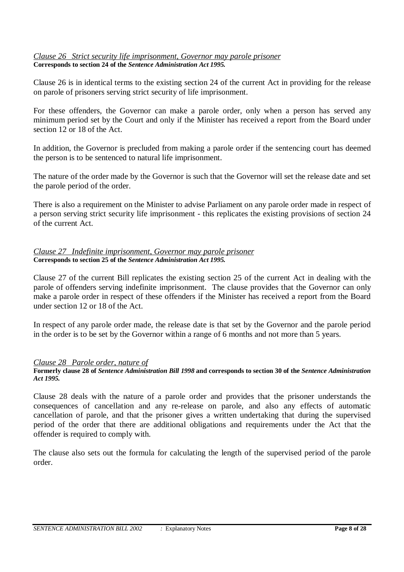### *Clause 26 Strict security life imprisonment, Governor may parole prisoner* **Corresponds to section 24 of the** *Sentence Administration Act 1995.*

Clause 26 is in identical terms to the existing section 24 of the current Act in providing for the release on parole of prisoners serving strict security of life imprisonment.

For these offenders, the Governor can make a parole order, only when a person has served any minimum period set by the Court and only if the Minister has received a report from the Board under section 12 or 18 of the Act.

In addition, the Governor is precluded from making a parole order if the sentencing court has deemed the person is to be sentenced to natural life imprisonment.

The nature of the order made by the Governor is such that the Governor will set the release date and set the parole period of the order.

There is also a requirement on the Minister to advise Parliament on any parole order made in respect of a person serving strict security life imprisonment - this replicates the existing provisions of section 24 of the current Act.

# *Clause 27 Indefinite imprisonment, Governor may parole prisoner* **Corresponds to section 25 of the** *Sentence Administration Act 1995.*

Clause 27 of the current Bill replicates the existing section 25 of the current Act in dealing with the parole of offenders serving indefinite imprisonment. The clause provides that the Governor can only make a parole order in respect of these offenders if the Minister has received a report from the Board under section 12 or 18 of the Act.

In respect of any parole order made, the release date is that set by the Governor and the parole period in the order is to be set by the Governor within a range of 6 months and not more than 5 years.

### *Clause 28 Parole order, nature of*

#### **Formerly clause 28 of** *Sentence Administration Bill 1998* **and corresponds to section 30 of the** *Sentence Administration Act 1995.*

Clause 28 deals with the nature of a parole order and provides that the prisoner understands the consequences of cancellation and any re-release on parole, and also any effects of automatic cancellation of parole, and that the prisoner gives a written undertaking that during the supervised period of the order that there are additional obligations and requirements under the Act that the offender is required to comply with.

The clause also sets out the formula for calculating the length of the supervised period of the parole order.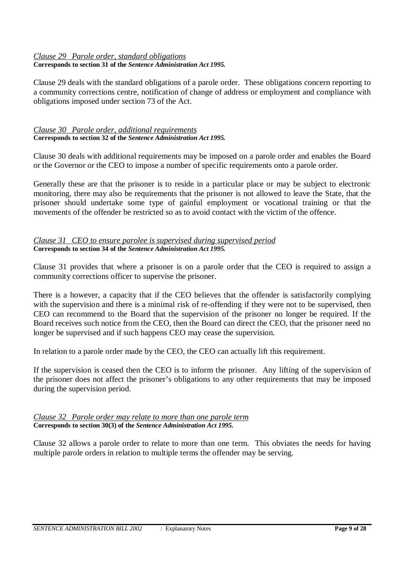# *Clause 29 Parole order, standard obligations* **Corresponds to section 31 of the** *Sentence Administration Act 1995.*

Clause 29 deals with the standard obligations of a parole order. These obligations concern reporting to a community corrections centre, notification of change of address or employment and compliance with obligations imposed under section 73 of the Act.

#### *Clause 30 Parole order, additional requirements* **Corresponds to section 32 of the** *Sentence Administration Act 1995.*

Clause 30 deals with additional requirements may be imposed on a parole order and enables the Board or the Governor or the CEO to impose a number of specific requirements onto a parole order.

Generally these are that the prisoner is to reside in a particular place or may be subject to electronic monitoring, there may also be requirements that the prisoner is not allowed to leave the State, that the prisoner should undertake some type of gainful employment or vocational training or that the movements of the offender be restricted so as to avoid contact with the victim of the offence.

# *Clause 31 CEO to ensure parolee is supervised during supervised period* **Corresponds to section 34 of the** *Sentence Administration Act 1995.*

Clause 31 provides that where a prisoner is on a parole order that the CEO is required to assign a community corrections officer to supervise the prisoner.

There is a however, a capacity that if the CEO believes that the offender is satisfactorily complying with the supervision and there is a minimal risk of re-offending if they were not to be supervised, then CEO can recommend to the Board that the supervision of the prisoner no longer be required. If the Board receives such notice from the CEO, then the Board can direct the CEO, that the prisoner need no longer be supervised and if such happens CEO may cease the supervision.

In relation to a parole order made by the CEO, the CEO can actually lift this requirement.

If the supervision is ceased then the CEO is to inform the prisoner. Any lifting of the supervision of the prisoner does not affect the prisoner's obligations to any other requirements that may be imposed during the supervision period.

#### *Clause 32 Parole order may relate to more than one parole term* **Corresponds to section 30(3) of the** *Sentence Administration Act 1995.*

Clause 32 allows a parole order to relate to more than one term. This obviates the needs for having multiple parole orders in relation to multiple terms the offender may be serving.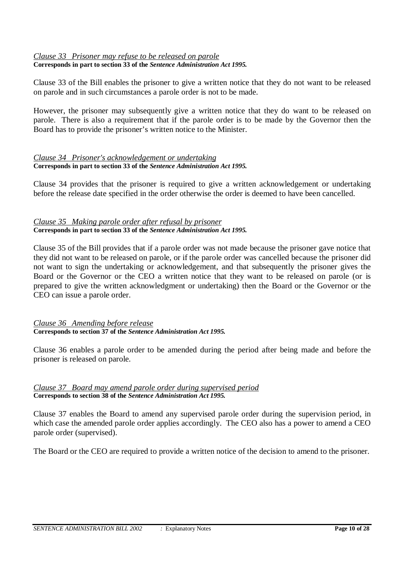## *Clause 33 Prisoner may refuse to be released on parole* **Corresponds in part to section 33 of the** *Sentence Administration Act 1995.*

Clause 33 of the Bill enables the prisoner to give a written notice that they do not want to be released on parole and in such circumstances a parole order is not to be made.

However, the prisoner may subsequently give a written notice that they do want to be released on parole. There is also a requirement that if the parole order is to be made by the Governor then the Board has to provide the prisoner's written notice to the Minister.

### *Clause 34 Prisoner's acknowledgement or undertaking* **Corresponds in part to section 33 of the** *Sentence Administration Act 1995.*

Clause 34 provides that the prisoner is required to give a written acknowledgement or undertaking before the release date specified in the order otherwise the order is deemed to have been cancelled.

### *Clause 35 Making parole order after refusal by prisoner* **Corresponds in part to section 33 of the** *Sentence Administration Act 1995.*

Clause 35 of the Bill provides that if a parole order was not made because the prisoner gave notice that they did not want to be released on parole, or if the parole order was cancelled because the prisoner did not want to sign the undertaking or acknowledgement, and that subsequently the prisoner gives the Board or the Governor or the CEO a written notice that they want to be released on parole (or is prepared to give the written acknowledgment or undertaking) then the Board or the Governor or the CEO can issue a parole order.

*Clause 36 Amending before release* **Corresponds to section 37 of the** *Sentence Administration Act 1995.*

Clause 36 enables a parole order to be amended during the period after being made and before the prisoner is released on parole.

#### *Clause 37 Board may amend parole order during supervised period* **Corresponds to section 38 of the** *Sentence Administration Act 1995.*

Clause 37 enables the Board to amend any supervised parole order during the supervision period, in which case the amended parole order applies accordingly. The CEO also has a power to amend a CEO parole order (supervised).

The Board or the CEO are required to provide a written notice of the decision to amend to the prisoner.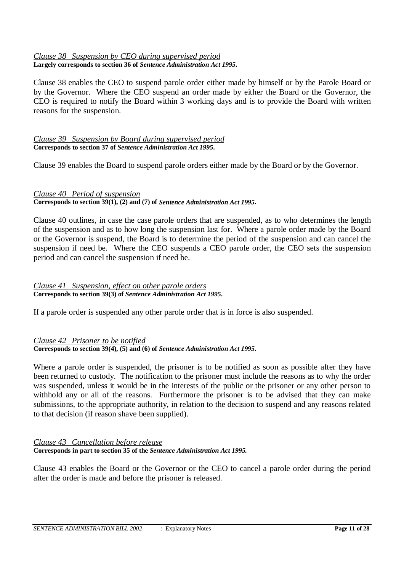## *Clause 38 Suspension by CEO during supervised period* **Largely corresponds to section 36 of** *Sentence Administration Act 1995***.**

Clause 38 enables the CEO to suspend parole order either made by himself or by the Parole Board or by the Governor. Where the CEO suspend an order made by either the Board or the Governor, the CEO is required to notify the Board within 3 working days and is to provide the Board with written reasons for the suspension.

#### *Clause 39 Suspension by Board during supervised period* **Corresponds to section 37 of** *Sentence Administration Act 1995***.**

Clause 39 enables the Board to suspend parole orders either made by the Board or by the Governor.

# *Clause 40 Period of suspension*

**Corresponds to section 39(1), (2) and (7) of** *Sentence Administration Act 1995***.**

Clause 40 outlines, in case the case parole orders that are suspended, as to who determines the length of the suspension and as to how long the suspension last for. Where a parole order made by the Board or the Governor is suspend, the Board is to determine the period of the suspension and can cancel the suspension if need be. Where the CEO suspends a CEO parole order, the CEO sets the suspension period and can cancel the suspension if need be.

#### *Clause 41 Suspension, effect on other parole orders* **Corresponds to section 39(3) of** *Sentence Administration Act 1995***.**

If a parole order is suspended any other parole order that is in force is also suspended.

#### *Clause 42 Prisoner to be notified* **Corresponds to section 39(4), (5) and (6) of** *Sentence Administration Act 1995***.**

Where a parole order is suspended, the prisoner is to be notified as soon as possible after they have been returned to custody. The notification to the prisoner must include the reasons as to why the order was suspended, unless it would be in the interests of the public or the prisoner or any other person to withhold any or all of the reasons. Furthermore the prisoner is to be advised that they can make submissions, to the appropriate authority, in relation to the decision to suspend and any reasons related to that decision (if reason shave been supplied).

### *Clause 43 Cancellation before release* **Corresponds in part to section 35 of the** *Sentence Administration Act 1995.*

Clause 43 enables the Board or the Governor or the CEO to cancel a parole order during the period after the order is made and before the prisoner is released.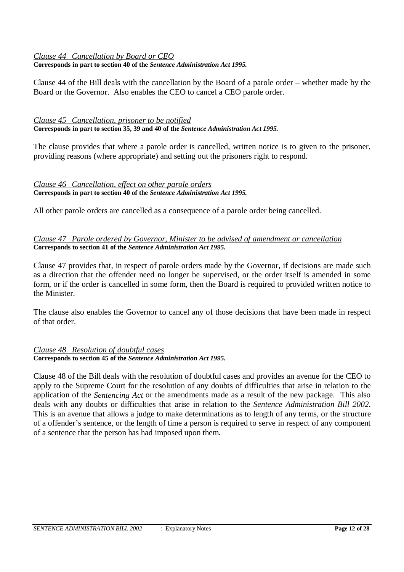# *Clause 44 Cancellation by Board or CEO* **Corresponds in part to section 40 of the** *Sentence Administration Act 1995.*

Clause 44 of the Bill deals with the cancellation by the Board of a parole order – whether made by the Board or the Governor. Also enables the CEO to cancel a CEO parole order.

# *Clause 45 Cancellation, prisoner to be notified* **Corresponds in part to section 35, 39 and 40 of the** *Sentence Administration Act 1995.*

The clause provides that where a parole order is cancelled, written notice is to given to the prisoner, providing reasons (where appropriate) and setting out the prisoners right to respond.

### *Clause 46 Cancellation, effect on other parole orders* **Corresponds in part to section 40 of the** *Sentence Administration Act 1995.*

All other parole orders are cancelled as a consequence of a parole order being cancelled.

# *Clause 47 Parole ordered by Governor, Minister to be advised of amendment or cancellation* **Corresponds to section 41 of the** *Sentence Administration Act 1995.*

Clause 47 provides that, in respect of parole orders made by the Governor, if decisions are made such as a direction that the offender need no longer be supervised, or the order itself is amended in some form, or if the order is cancelled in some form, then the Board is required to provided written notice to the Minister.

The clause also enables the Governor to cancel any of those decisions that have been made in respect of that order.

### *Clause 48 Resolution of doubtful cases* **Corresponds to section 45 of the** *Sentence Administration Act 1995.*

Clause 48 of the Bill deals with the resolution of doubtful cases and provides an avenue for the CEO to apply to the Supreme Court for the resolution of any doubts of difficulties that arise in relation to the application of the *Sentencing Act* or the amendments made as a result of the new package. This also deals with any doubts or difficulties that arise in relation to the *Sentence Administration Bill 2002*. This is an avenue that allows a judge to make determinations as to length of any terms, or the structure of a offender's sentence, or the length of time a person is required to serve in respect of any component of a sentence that the person has had imposed upon them.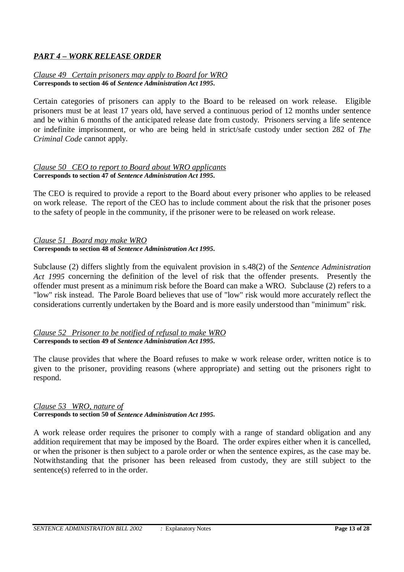# *PART 4 – WORK RELEASE ORDER*

#### *Clause 49 Certain prisoners may apply to Board for WRO* **Corresponds to section 46 of** *Sentence Administration Act 1995***.**

Certain categories of prisoners can apply to the Board to be released on work release. Eligible prisoners must be at least 17 years old, have served a continuous period of 12 months under sentence and be within 6 months of the anticipated release date from custody. Prisoners serving a life sentence or indefinite imprisonment, or who are being held in strict/safe custody under section 282 of *The Criminal Code* cannot apply.

### *Clause 50 CEO to report to Board about WRO applicants* **Corresponds to section 47 of** *Sentence Administration Act 1995***.**

The CEO is required to provide a report to the Board about every prisoner who applies to be released on work release. The report of the CEO has to include comment about the risk that the prisoner poses to the safety of people in the community, if the prisoner were to be released on work release.

#### *Clause 51 Board may make WRO* **Corresponds to section 48 of** *Sentence Administration Act 1995***.**

Subclause (2) differs slightly from the equivalent provision in s.48(2) of the *Sentence Administration Act 1995* concerning the definition of the level of risk that the offender presents. Presently the offender must present as a minimum risk before the Board can make a WRO. Subclause (2) refers to a "low" risk instead. The Parole Board believes that use of "low" risk would more accurately reflect the considerations currently undertaken by the Board and is more easily understood than "minimum" risk.

*Clause 52 Prisoner to be notified of refusal to make WRO* **Corresponds to section 49 of** *Sentence Administration Act 1995***.**

The clause provides that where the Board refuses to make w work release order, written notice is to given to the prisoner, providing reasons (where appropriate) and setting out the prisoners right to respond.

#### *Clause 53 WRO, nature of* **Corresponds to section 50 of** *Sentence Administration Act 1995***.**

A work release order requires the prisoner to comply with a range of standard obligation and any addition requirement that may be imposed by the Board. The order expires either when it is cancelled, or when the prisoner is then subject to a parole order or when the sentence expires, as the case may be. Notwithstanding that the prisoner has been released from custody, they are still subject to the sentence(s) referred to in the order.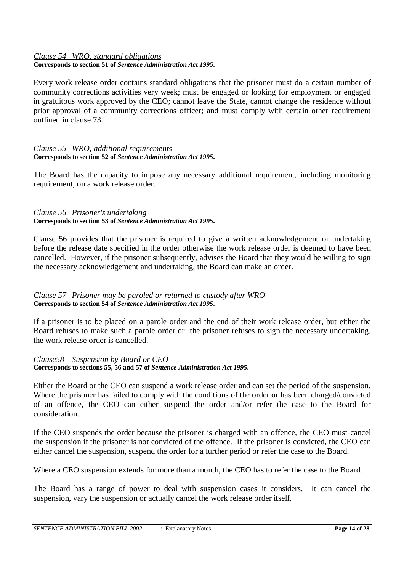# *Clause 54 WRO, standard obligations* **Corresponds to section 51 of** *Sentence Administration Act 1995***.**

Every work release order contains standard obligations that the prisoner must do a certain number of community corrections activities very week; must be engaged or looking for employment or engaged in gratuitous work approved by the CEO; cannot leave the State, cannot change the residence without prior approval of a community corrections officer; and must comply with certain other requirement outlined in clause 73.

#### *Clause 55 WRO, additional requirements* **Corresponds to section 52 of** *Sentence Administration Act 1995***.**

The Board has the capacity to impose any necessary additional requirement, including monitoring requirement, on a work release order.

# *Clause 56 Prisoner's undertaking* **Corresponds to section 53 of** *Sentence Administration Act 1995***.**

Clause 56 provides that the prisoner is required to give a written acknowledgement or undertaking before the release date specified in the order otherwise the work release order is deemed to have been cancelled. However, if the prisoner subsequently, advises the Board that they would be willing to sign the necessary acknowledgement and undertaking, the Board can make an order.

### *Clause 57 Prisoner may be paroled or returned to custody after WRO* **Corresponds to section 54 of** *Sentence Administration Act 1995***.**

If a prisoner is to be placed on a parole order and the end of their work release order, but either the Board refuses to make such a parole order or the prisoner refuses to sign the necessary undertaking, the work release order is cancelled.

*Clause58 Suspension by Board or CEO* **Corresponds to sections 55, 56 and 57 of** *Sentence Administration Act 1995***.**

Either the Board or the CEO can suspend a work release order and can set the period of the suspension. Where the prisoner has failed to comply with the conditions of the order or has been charged/convicted of an offence, the CEO can either suspend the order and/or refer the case to the Board for consideration.

If the CEO suspends the order because the prisoner is charged with an offence, the CEO must cancel the suspension if the prisoner is not convicted of the offence. If the prisoner is convicted, the CEO can either cancel the suspension, suspend the order for a further period or refer the case to the Board.

Where a CEO suspension extends for more than a month, the CEO has to refer the case to the Board.

The Board has a range of power to deal with suspension cases it considers. It can cancel the suspension, vary the suspension or actually cancel the work release order itself.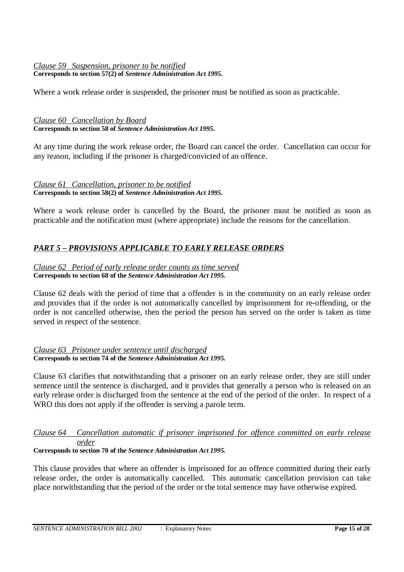## *Clause 59 Suspension, prisoner to be notified* **Corresponds to section 57(2) of** *Sentence Administration Act 1995***.**

Where a work release order is suspended, the prisoner must be notified as soon as practicable.

#### *Clause 60 Cancellation by Board* **Corresponds to section 58 of** *Sentence Administration Act 1995***.**

At any time during the work release order, the Board can cancel the order. Cancellation can occur for any reason, including if the prisoner is charged/convicted of an offence.

#### *Clause 61 Cancellation, prisoner to be notified* **Corresponds to section 58(2) of** *Sentence Administration Act 1995***.**

Where a work release order is cancelled by the Board, the prisoner must be notified as soon as practicable and the notification must (where appropriate) include the reasons for the cancellation.

# *PART 5 – PROVISIONS APPLICABLE TO EARLY RELEASE ORDERS*

#### *Clause 62 Period of early release order counts as time served* **Corresponds to section 68 of the** *Sentence Administration Act 1995.*

Clause 62 deals with the period of time that a offender is in the community on an early release order and provides that if the order is not automatically cancelled by imprisonment for re-offending, or the order is not cancelled otherwise, then the period the person has served on the order is taken as time served in respect of the sentence.

### *Clause 63 Prisoner under sentence until discharged* **Corresponds to section 74 of the** *Sentence Administration Act 1995.*

Clause 63 clarifies that notwithstanding that a prisoner on an early release order, they are still under sentence until the sentence is discharged, and it provides that generally a person who is released on an early release order is discharged from the sentence at the end of the period of the order. In respect of a WRO this does not apply if the offender is serving a parole term.

# *Clause 64 Cancellation automatic if prisoner imprisoned for offence committed on early release order*

# **Corresponds to section 70 of the** *Sentence Administration Act 1995.*

This clause provides that where an offender is imprisoned for an offence committed during their early release order, the order is automatically cancelled. This automatic cancellation provision can take place notwithstanding that the period of the order or the total sentence may have otherwise expired.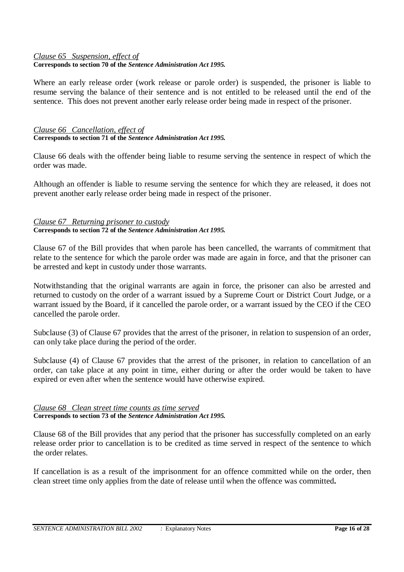# *Clause 65 Suspension, effect of* **Corresponds to section 70 of the** *Sentence Administration Act 1995.*

Where an early release order (work release or parole order) is suspended, the prisoner is liable to resume serving the balance of their sentence and is not entitled to be released until the end of the sentence. This does not prevent another early release order being made in respect of the prisoner.

### *Clause 66 Cancellation, effect of* **Corresponds to section 71 of the** *Sentence Administration Act 1995.*

Clause 66 deals with the offender being liable to resume serving the sentence in respect of which the order was made.

Although an offender is liable to resume serving the sentence for which they are released, it does not prevent another early release order being made in respect of the prisoner.

### *Clause 67 Returning prisoner to custody* **Corresponds to section 72 of the** *Sentence Administration Act 1995.*

Clause 67 of the Bill provides that when parole has been cancelled, the warrants of commitment that relate to the sentence for which the parole order was made are again in force, and that the prisoner can be arrested and kept in custody under those warrants.

Notwithstanding that the original warrants are again in force, the prisoner can also be arrested and returned to custody on the order of a warrant issued by a Supreme Court or District Court Judge, or a warrant issued by the Board, if it cancelled the parole order, or a warrant issued by the CEO if the CEO cancelled the parole order.

Subclause (3) of Clause 67 provides that the arrest of the prisoner, in relation to suspension of an order, can only take place during the period of the order.

Subclause (4) of Clause 67 provides that the arrest of the prisoner, in relation to cancellation of an order, can take place at any point in time, either during or after the order would be taken to have expired or even after when the sentence would have otherwise expired.

### *Clause 68 Clean street time counts as time served* **Corresponds to section 73 of the** *Sentence Administration Act 1995.*

Clause 68 of the Bill provides that any period that the prisoner has successfully completed on an early release order prior to cancellation is to be credited as time served in respect of the sentence to which the order relates.

If cancellation is as a result of the imprisonment for an offence committed while on the order, then clean street time only applies from the date of release until when the offence was committed**.**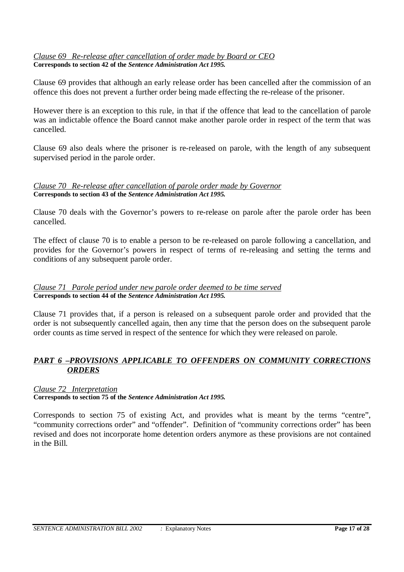## *Clause 69 Re-release after cancellation of order made by Board or CEO* **Corresponds to section 42 of the** *Sentence Administration Act 1995.*

Clause 69 provides that although an early release order has been cancelled after the commission of an offence this does not prevent a further order being made effecting the re-release of the prisoner.

However there is an exception to this rule, in that if the offence that lead to the cancellation of parole was an indictable offence the Board cannot make another parole order in respect of the term that was cancelled.

Clause 69 also deals where the prisoner is re-released on parole, with the length of any subsequent supervised period in the parole order.

### *Clause 70 Re-release after cancellation of parole order made by Governor* **Corresponds to section 43 of the** *Sentence Administration Act 1995.*

Clause 70 deals with the Governor's powers to re-release on parole after the parole order has been cancelled.

The effect of clause 70 is to enable a person to be re-released on parole following a cancellation, and provides for the Governor's powers in respect of terms of re-releasing and setting the terms and conditions of any subsequent parole order.

### *Clause 71 Parole period under new parole order deemed to be time served* **Corresponds to section 44 of the** *Sentence Administration Act 1995.*

Clause 71 provides that, if a person is released on a subsequent parole order and provided that the order is not subsequently cancelled again, then any time that the person does on the subsequent parole order counts as time served in respect of the sentence for which they were released on parole.

# *PART 6 –PROVISIONS APPLICABLE TO OFFENDERS ON COMMUNITY CORRECTIONS ORDERS*

#### *Clause 72 Interpretation* **Corresponds to section 75 of the** *Sentence Administration Act 1995.*

Corresponds to section 75 of existing Act, and provides what is meant by the terms "centre", "community corrections order" and "offender". Definition of "community corrections order" has been revised and does not incorporate home detention orders anymore as these provisions are not contained in the Bill.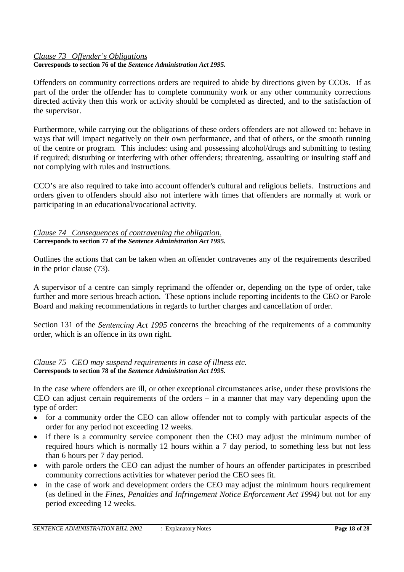## *Clause 73 Offender's Obligations* **Corresponds to section 76 of the** *Sentence Administration Act 1995.*

Offenders on community corrections orders are required to abide by directions given by CCOs. If as part of the order the offender has to complete community work or any other community corrections directed activity then this work or activity should be completed as directed, and to the satisfaction of the supervisor.

Furthermore, while carrying out the obligations of these orders offenders are not allowed to: behave in ways that will impact negatively on their own performance, and that of others, or the smooth running of the centre or program. This includes: using and possessing alcohol/drugs and submitting to testing if required; disturbing or interfering with other offenders; threatening, assaulting or insulting staff and not complying with rules and instructions.

CCO's are also required to take into account offender's cultural and religious beliefs. Instructions and orders given to offenders should also not interfere with times that offenders are normally at work or participating in an educational/vocational activity.

# *Clause 74 Consequences of contravening the obligation.* **Corresponds to section 77 of the** *Sentence Administration Act 1995.*

Outlines the actions that can be taken when an offender contravenes any of the requirements described in the prior clause (73).

A supervisor of a centre can simply reprimand the offender or, depending on the type of order, take further and more serious breach action. These options include reporting incidents to the CEO or Parole Board and making recommendations in regards to further charges and cancellation of order.

Section 131 of the *Sentencing Act 1995* concerns the breaching of the requirements of a community order, which is an offence in its own right.

# *Clause 75 CEO may suspend requirements in case of illness etc.* **Corresponds to section 78 of the** *Sentence Administration Act 1995.*

In the case where offenders are ill, or other exceptional circumstances arise, under these provisions the CEO can adjust certain requirements of the orders – in a manner that may vary depending upon the type of order:

- for a community order the CEO can allow offender not to comply with particular aspects of the order for any period not exceeding 12 weeks.
- if there is a community service component then the CEO may adjust the minimum number of required hours which is normally 12 hours within a 7 day period, to something less but not less than 6 hours per 7 day period.
- with parole orders the CEO can adjust the number of hours an offender participates in prescribed community corrections activities for whatever period the CEO sees fit.
- in the case of work and development orders the CEO may adjust the minimum hours requirement (as defined in the *Fines, Penalties and Infringement Notice Enforcement Act 1994)* but not for any period exceeding 12 weeks.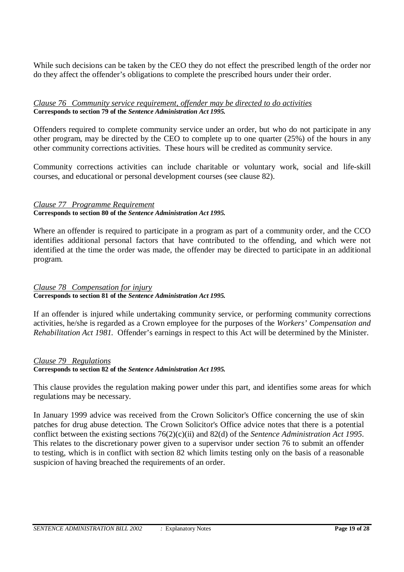While such decisions can be taken by the CEO they do not effect the prescribed length of the order nor do they affect the offender's obligations to complete the prescribed hours under their order.

*Clause 76 Community service requirement, offender may be directed to do activities* **Corresponds to section 79 of the** *Sentence Administration Act 1995.*

Offenders required to complete community service under an order, but who do not participate in any other program, may be directed by the CEO to complete up to one quarter  $(25%)$  of the hours in any other community corrections activities. These hours will be credited as community service.

Community corrections activities can include charitable or voluntary work, social and life-skill courses, and educational or personal development courses (see clause 82).

### *Clause 77 Programme Requirement*

#### **Corresponds to section 80 of the** *Sentence Administration Act 1995.*

Where an offender is required to participate in a program as part of a community order, and the CCO identifies additional personal factors that have contributed to the offending, and which were not identified at the time the order was made, the offender may be directed to participate in an additional program.

#### *Clause 78 Compensation for injury*

#### **Corresponds to section 81 of the** *Sentence Administration Act 1995.*

If an offender is injured while undertaking community service, or performing community corrections activities, he/she is regarded as a Crown employee for the purposes of the *Workers' Compensation and Rehabilitation Act 1981.* Offender's earnings in respect to this Act will be determined by the Minister.

*Clause 79 Regulations*

## **Corresponds to section 82 of the** *Sentence Administration Act 1995.*

This clause provides the regulation making power under this part, and identifies some areas for which regulations may be necessary.

In January 1999 advice was received from the Crown Solicitor's Office concerning the use of skin patches for drug abuse detection. The Crown Solicitor's Office advice notes that there is a potential conflict between the existing sections 76(2)(c)(ii) and 82(d) of the *Sentence Administration Act 1995*. This relates to the discretionary power given to a supervisor under section 76 to submit an offender to testing, which is in conflict with section 82 which limits testing only on the basis of a reasonable suspicion of having breached the requirements of an order.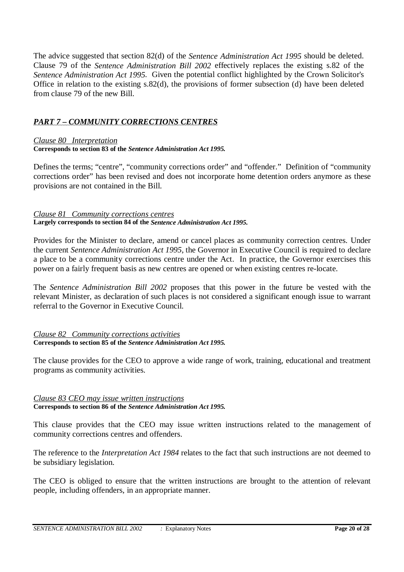The advice suggested that section 82(d) of the *Sentence Administration Act 1995* should be deleted. Clause 79 of the *Sentence Administration Bill 2002* effectively replaces the existing s.82 of the *Sentence Administration Act 1995*. Given the potential conflict highlighted by the Crown Solicitor's Office in relation to the existing s.82(d), the provisions of former subsection (d) have been deleted from clause 79 of the new Bill.

# *PART 7 – COMMUNITY CORRECTIONS CENTRES*

#### *Clause 80 Interpretation* **Corresponds to section 83 of the** *Sentence Administration Act 1995.*

Defines the terms; "centre", "community corrections order" and "offender." Definition of "community corrections order" has been revised and does not incorporate home detention orders anymore as these provisions are not contained in the Bill.

#### *Clause 81 Community corrections centres* **Largely corresponds to section 84 of the** *Sentence Administration Act 1995.*

Provides for the Minister to declare, amend or cancel places as community correction centres. Under the current *Sentence Administration Act 1995*, the Governor in Executive Council is required to declare a place to be a community corrections centre under the Act. In practice, the Governor exercises this power on a fairly frequent basis as new centres are opened or when existing centres re-locate.

The *Sentence Administration Bill 2002* proposes that this power in the future be vested with the relevant Minister, as declaration of such places is not considered a significant enough issue to warrant referral to the Governor in Executive Council.

#### *Clause 82 Community corrections activities* **Corresponds to section 85 of the** *Sentence Administration Act 1995.*

The clause provides for the CEO to approve a wide range of work, training, educational and treatment programs as community activities.

### *Clause 83 CEO may issue written instructions* **Corresponds to section 86 of the** *Sentence Administration Act 1995.*

This clause provides that the CEO may issue written instructions related to the management of community corrections centres and offenders.

The reference to the *Interpretation Act 1984* relates to the fact that such instructions are not deemed to be subsidiary legislation.

The CEO is obliged to ensure that the written instructions are brought to the attention of relevant people, including offenders, in an appropriate manner.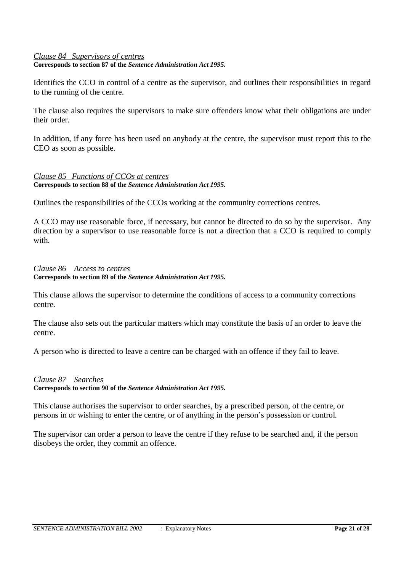#### *Clause 84 Supervisors of centres* **Corresponds to section 87 of the** *Sentence Administration Act 1995.*

Identifies the CCO in control of a centre as the supervisor, and outlines their responsibilities in regard to the running of the centre.

The clause also requires the supervisors to make sure offenders know what their obligations are under their order.

In addition, if any force has been used on anybody at the centre, the supervisor must report this to the CEO as soon as possible.

#### *Clause 85 Functions of CCOs at centres* **Corresponds to section 88 of the** *Sentence Administration Act 1995.*

Outlines the responsibilities of the CCOs working at the community corrections centres.

A CCO may use reasonable force, if necessary, but cannot be directed to do so by the supervisor. Any direction by a supervisor to use reasonable force is not a direction that a CCO is required to comply with.

#### *Clause 86 Access to centres* **Corresponds to section 89 of the** *Sentence Administration Act 1995.*

This clause allows the supervisor to determine the conditions of access to a community corrections centre.

The clause also sets out the particular matters which may constitute the basis of an order to leave the centre.

A person who is directed to leave a centre can be charged with an offence if they fail to leave.

# *Clause 87 Searches*

**Corresponds to section 90 of the** *Sentence Administration Act 1995.*

This clause authorises the supervisor to order searches, by a prescribed person, of the centre, or persons in or wishing to enter the centre, or of anything in the person's possession or control.

The supervisor can order a person to leave the centre if they refuse to be searched and, if the person disobeys the order, they commit an offence.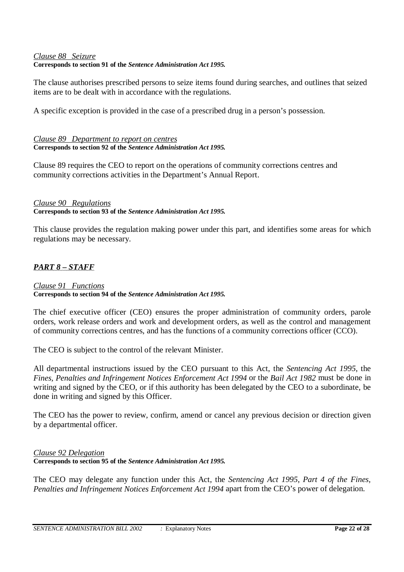### *Clause 88 Seizure*

## **Corresponds to section 91 of the** *Sentence Administration Act 1995.*

The clause authorises prescribed persons to seize items found during searches, and outlines that seized items are to be dealt with in accordance with the regulations.

A specific exception is provided in the case of a prescribed drug in a person's possession.

#### *Clause 89 Department to report on centres* **Corresponds to section 92 of the** *Sentence Administration Act 1995.*

Clause 89 requires the CEO to report on the operations of community corrections centres and community corrections activities in the Department's Annual Report.

# *Clause 90 Regulations*

**Corresponds to section 93 of the** *Sentence Administration Act 1995.*

This clause provides the regulation making power under this part, and identifies some areas for which regulations may be necessary.

# *PART 8 – STAFF*

#### *Clause 91 Functions* **Corresponds to section 94 of the** *Sentence Administration Act 1995.*

The chief executive officer (CEO) ensures the proper administration of community orders, parole orders, work release orders and work and development orders, as well as the control and management of community corrections centres, and has the functions of a community corrections officer (CCO).

The CEO is subject to the control of the relevant Minister.

All departmental instructions issued by the CEO pursuant to this Act, the *Sentencing Act 1995*, the *Fines, Penalties and Infringement Notices Enforcement Act 1994* or the *Bail Act 1982* must be done in writing and signed by the CEO, or if this authority has been delegated by the CEO to a subordinate, be done in writing and signed by this Officer.

The CEO has the power to review, confirm, amend or cancel any previous decision or direction given by a departmental officer.

### *Clause 92 Delegation*

**Corresponds to section 95 of the** *Sentence Administration Act 1995.*

The CEO may delegate any function under this Act, the *Sentencing Act 1995*, *Part 4 of the Fines, Penalties and Infringement Notices Enforcement Act 1994* apart from the CEO's power of delegation.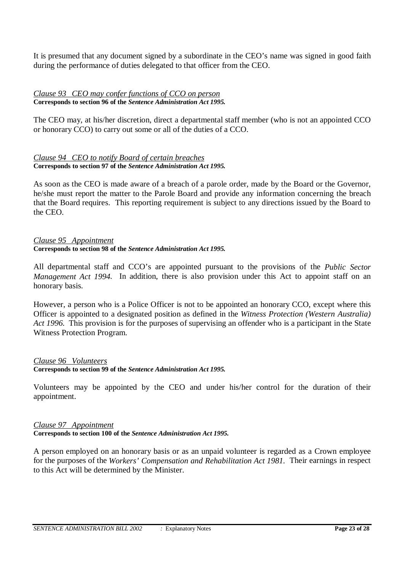It is presumed that any document signed by a subordinate in the CEO's name was signed in good faith during the performance of duties delegated to that officer from the CEO.

#### *Clause 93 CEO may confer functions of CCO on person* **Corresponds to section 96 of the** *Sentence Administration Act 1995.*

The CEO may, at his/her discretion, direct a departmental staff member (who is not an appointed CCO or honorary CCO) to carry out some or all of the duties of a CCO.

### *Clause 94 CEO to notify Board of certain breaches* **Corresponds to section 97 of the** *Sentence Administration Act 1995.*

As soon as the CEO is made aware of a breach of a parole order, made by the Board or the Governor, he/she must report the matter to the Parole Board and provide any information concerning the breach that the Board requires. This reporting requirement is subject to any directions issued by the Board to the CEO.

#### *Clause 95 Appointment* **Corresponds to section 98 of the** *Sentence Administration Act 1995.*

All departmental staff and CCO's are appointed pursuant to the provisions of the *Public Sector Management Act 1994*. In addition, there is also provision under this Act to appoint staff on an honorary basis.

However, a person who is a Police Officer is not to be appointed an honorary CCO, except where this Officer is appointed to a designated position as defined in the *Witness Protection (Western Australia) Act 1996.* This provision is for the purposes of supervising an offender who is a participant in the State Witness Protection Program.

### *Clause 96 Volunteers*

**Corresponds to section 99 of the** *Sentence Administration Act 1995.*

Volunteers may be appointed by the CEO and under his/her control for the duration of their appointment.

#### *Clause 97 Appointment* **Corresponds to section 100 of the** *Sentence Administration Act 1995.*

A person employed on an honorary basis or as an unpaid volunteer is regarded as a Crown employee for the purposes of the *Workers' Compensation and Rehabilitation Act 1981.* Their earnings in respect to this Act will be determined by the Minister.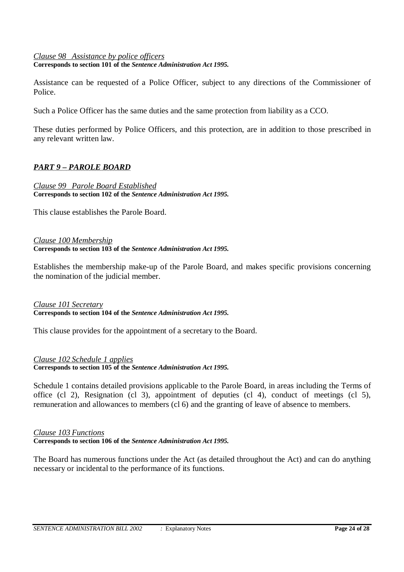*Clause 98 Assistance by police officers* **Corresponds to section 101 of the** *Sentence Administration Act 1995.*

Assistance can be requested of a Police Officer, subject to any directions of the Commissioner of Police.

Such a Police Officer has the same duties and the same protection from liability as a CCO.

These duties performed by Police Officers, and this protection, are in addition to those prescribed in any relevant written law.

# *PART 9 – PAROLE BOARD*

*Clause 99 Parole Board Established* **Corresponds to section 102 of the** *Sentence Administration Act 1995.*

This clause establishes the Parole Board.

*Clause 100 Membership* **Corresponds to section 103 of the** *Sentence Administration Act 1995.*

Establishes the membership make-up of the Parole Board, and makes specific provisions concerning the nomination of the judicial member.

*Clause 101 Secretary* **Corresponds to section 104 of the** *Sentence Administration Act 1995.*

This clause provides for the appointment of a secretary to the Board.

*Clause 102 Schedule 1 applies*

**Corresponds to section 105 of the** *Sentence Administration Act 1995.*

Schedule 1 contains detailed provisions applicable to the Parole Board, in areas including the Terms of office (cl 2), Resignation (cl 3), appointment of deputies (cl 4), conduct of meetings (cl 5), remuneration and allowances to members (cl 6) and the granting of leave of absence to members.

### *Clause 103 Functions*

**Corresponds to section 106 of the** *Sentence Administration Act 1995.*

The Board has numerous functions under the Act (as detailed throughout the Act) and can do anything necessary or incidental to the performance of its functions.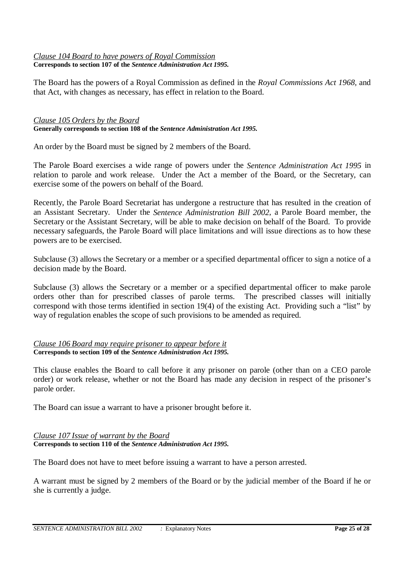## *Clause 104 Board to have powers of Royal Commission* **Corresponds to section 107 of the** *Sentence Administration Act 1995.*

The Board has the powers of a Royal Commission as defined in the *Royal Commissions Act 1968,* and that Act, with changes as necessary, has effect in relation to the Board.

# *Clause 105 Orders by the Board*

**Generally corresponds to section 108 of the** *Sentence Administration Act 1995.*

An order by the Board must be signed by 2 members of the Board.

The Parole Board exercises a wide range of powers under the *Sentence Administration Act 1995* in relation to parole and work release. Under the Act a member of the Board, or the Secretary, can exercise some of the powers on behalf of the Board.

Recently, the Parole Board Secretariat has undergone a restructure that has resulted in the creation of an Assistant Secretary. Under the *Sentence Administration Bill 2002*, a Parole Board member, the Secretary or the Assistant Secretary, will be able to make decision on behalf of the Board. To provide necessary safeguards, the Parole Board will place limitations and will issue directions as to how these powers are to be exercised.

Subclause (3) allows the Secretary or a member or a specified departmental officer to sign a notice of a decision made by the Board.

Subclause (3) allows the Secretary or a member or a specified departmental officer to make parole orders other than for prescribed classes of parole terms. The prescribed classes will initially correspond with those terms identified in section 19(4) of the existing Act. Providing such a "list" by way of regulation enables the scope of such provisions to be amended as required.

#### *Clause 106 Board may require prisoner to appear before it* **Corresponds to section 109 of the** *Sentence Administration Act 1995.*

This clause enables the Board to call before it any prisoner on parole (other than on a CEO parole order) or work release, whether or not the Board has made any decision in respect of the prisoner's parole order.

The Board can issue a warrant to have a prisoner brought before it.

### *Clause 107 Issue of warrant by the Board* **Corresponds to section 110 of the** *Sentence Administration Act 1995.*

The Board does not have to meet before issuing a warrant to have a person arrested.

A warrant must be signed by 2 members of the Board or by the judicial member of the Board if he or she is currently a judge.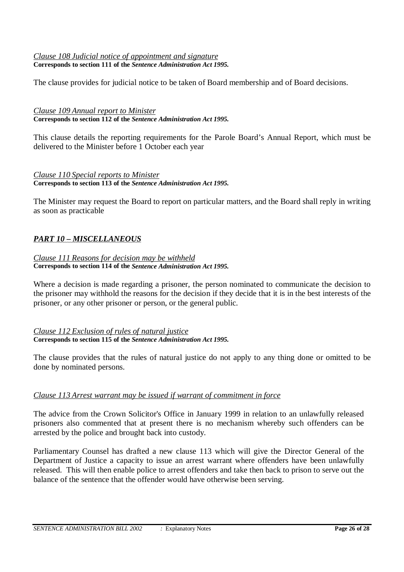#### *Clause 108 Judicial notice of appointment and signature* **Corresponds to section 111 of the** *Sentence Administration Act 1995.*

The clause provides for judicial notice to be taken of Board membership and of Board decisions.

### *Clause 109 Annual report to Minister* **Corresponds to section 112 of the** *Sentence Administration Act 1995.*

This clause details the reporting requirements for the Parole Board's Annual Report, which must be delivered to the Minister before 1 October each year

#### *Clause 110 Special reports to Minister* **Corresponds to section 113 of the** *Sentence Administration Act 1995.*

The Minister may request the Board to report on particular matters, and the Board shall reply in writing as soon as practicable

# *PART 10 – MISCELLANEOUS*

#### *Clause 111 Reasons for decision may be withheld* **Corresponds to section 114 of the** *Sentence Administration Act 1995.*

Where a decision is made regarding a prisoner, the person nominated to communicate the decision to the prisoner may withhold the reasons for the decision if they decide that it is in the best interests of the prisoner, or any other prisoner or person, or the general public.

#### *Clause 112 Exclusion of rules of natural justice* **Corresponds to section 115 of the** *Sentence Administration Act 1995.*

The clause provides that the rules of natural justice do not apply to any thing done or omitted to be done by nominated persons.

# *Clause 113 Arrest warrant may be issued if warrant of commitment in force*

The advice from the Crown Solicitor's Office in January 1999 in relation to an unlawfully released prisoners also commented that at present there is no mechanism whereby such offenders can be arrested by the police and brought back into custody.

Parliamentary Counsel has drafted a new clause 113 which will give the Director General of the Department of Justice a capacity to issue an arrest warrant where offenders have been unlawfully released. This will then enable police to arrest offenders and take then back to prison to serve out the balance of the sentence that the offender would have otherwise been serving.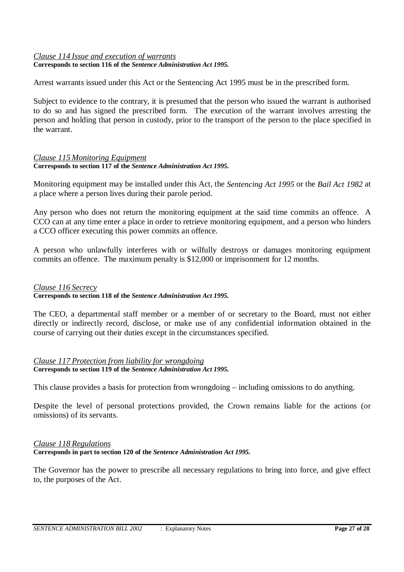### *Clause 114 Issue and execution of warrants* **Corresponds to section 116 of the** *Sentence Administration Act 1995.*

Arrest warrants issued under this Act or the Sentencing Act 1995 must be in the prescribed form.

Subject to evidence to the contrary, it is presumed that the person who issued the warrant is authorised to do so and has signed the prescribed form. The execution of the warrant involves arresting the person and holding that person in custody, prior to the transport of the person to the place specified in the warrant.

#### *Clause 115 Monitoring Equipment* **Corresponds to section 117 of the** *Sentence Administration Act 1995.*

Monitoring equipment may be installed under this Act, the *Sentencing Act 1995* or the *Bail Act 1982* at a place where a person lives during their parole period.

Any person who does not return the monitoring equipment at the said time commits an offence. A CCO can at any time enter a place in order to retrieve monitoring equipment, and a person who hinders a CCO officer executing this power commits an offence.

A person who unlawfully interferes with or wilfully destroys or damages monitoring equipment commits an offence. The maximum penalty is \$12,000 or imprisonment for 12 months.

### *Clause 116 Secrecy*

### **Corresponds to section 118 of the** *Sentence Administration Act 1995.*

The CEO, a departmental staff member or a member of or secretary to the Board, must not either directly or indirectly record, disclose, or make use of any confidential information obtained in the course of carrying out their duties except in the circumstances specified.

#### *Clause 117 Protection from liability for wrongdoing* **Corresponds to section 119 of the** *Sentence Administration Act 1995.*

This clause provides a basis for protection from wrongdoing – including omissions to do anything.

Despite the level of personal protections provided, the Crown remains liable for the actions (or omissions) of its servants.

### *Clause 118 Regulations*

### **Corresponds in part to section 120 of the** *Sentence Administration Act 1995.*

The Governor has the power to prescribe all necessary regulations to bring into force, and give effect to, the purposes of the Act.